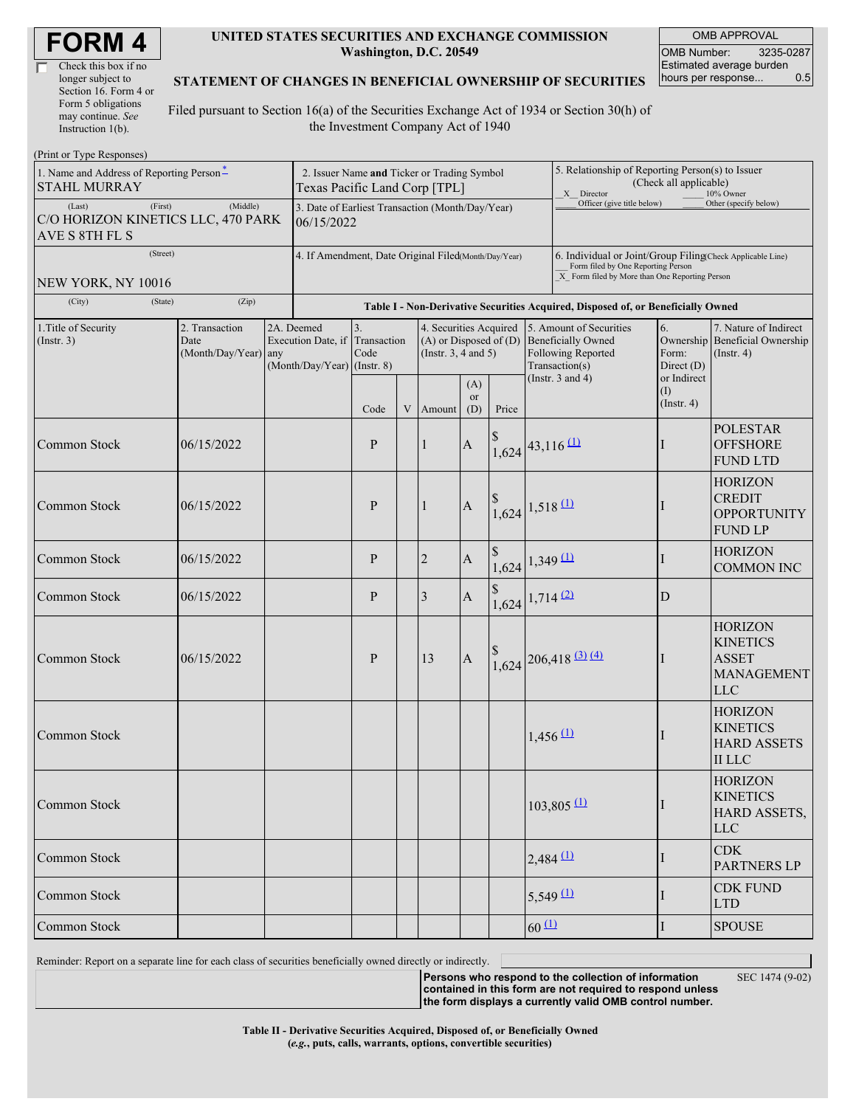| <b>FORM4</b> |  |
|--------------|--|
|--------------|--|

| Check this box if no  |
|-----------------------|
| longer subject to     |
| Section 16. Form 4 or |
| Form 5 obligations    |
| may continue. See     |
| Instruction 1(b).     |

#### **UNITED STATES SECURITIES AND EXCHANGE COMMISSION Washington, D.C. 20549**

OMB APPROVAL OMB Number: 3235-0287 Estimated average burden hours per response... 0.5

#### **STATEMENT OF CHANGES IN BENEFICIAL OWNERSHIP OF SECURITIES**

Filed pursuant to Section 16(a) of the Securities Exchange Act of 1934 or Section 30(h) of the Investment Company Act of 1940

| (Print or Type Responses)                                                   |                                                |                                                                                  |                                                                 |                           |  |                                                                                                            |                       |                                                                                                                                                    |                                                                                          |                          |                                          |                                                                                      |
|-----------------------------------------------------------------------------|------------------------------------------------|----------------------------------------------------------------------------------|-----------------------------------------------------------------|---------------------------|--|------------------------------------------------------------------------------------------------------------|-----------------------|----------------------------------------------------------------------------------------------------------------------------------------------------|------------------------------------------------------------------------------------------|--------------------------|------------------------------------------|--------------------------------------------------------------------------------------|
| 1. Name and Address of Reporting Person <sup>*</sup><br><b>STAHL MURRAY</b> |                                                | 2. Issuer Name and Ticker or Trading Symbol<br>Texas Pacific Land Corp [TPL]     |                                                                 |                           |  |                                                                                                            |                       | 5. Relationship of Reporting Person(s) to Issuer<br>(Check all applicable)<br>X Director<br>10% Owner                                              |                                                                                          |                          |                                          |                                                                                      |
| (First)<br>(Last)<br>C/O HORIZON KINETICS LLC, 470 PARK<br>AVE S 8TH FL S   |                                                | 3. Date of Earliest Transaction (Month/Day/Year)<br>06/15/2022                   |                                                                 |                           |  |                                                                                                            |                       | Officer (give title below)                                                                                                                         |                                                                                          | Other (specify below)    |                                          |                                                                                      |
| (Street)<br>NEW YORK, NY 10016                                              |                                                | 4. If Amendment, Date Original Filed(Month/Day/Year)                             |                                                                 |                           |  |                                                                                                            |                       | 6. Individual or Joint/Group Filing(Check Applicable Line)<br>Form filed by One Reporting Person<br>X Form filed by More than One Reporting Person |                                                                                          |                          |                                          |                                                                                      |
| (City)<br>(State)                                                           |                                                | Table I - Non-Derivative Securities Acquired, Disposed of, or Beneficially Owned |                                                                 |                           |  |                                                                                                            |                       |                                                                                                                                                    |                                                                                          |                          |                                          |                                                                                      |
| 1. Title of Security<br>$($ Instr. 3 $)$                                    | 2. Transaction<br>Date<br>(Month/Day/Year) any |                                                                                  | 2A. Deemed<br>Execution Date, if<br>(Month/Day/Year) (Instr. 8) | 3.<br>Transaction<br>Code |  | 4. Securities Acquired<br>$(A)$ or Disposed of $(D)$ Beneficially Owned<br>(Instr. $3, 4$ and $5$ )<br>(A) |                       |                                                                                                                                                    | 5. Amount of Securities<br>Following Reported<br>Transaction(s)<br>(Instr. $3$ and $4$ ) |                          | 6.<br>Form:<br>Direct (D)<br>or Indirect | 7. Nature of Indirect<br>Ownership Beneficial Ownership<br>$($ Instr. 4 $)$          |
|                                                                             |                                                |                                                                                  |                                                                 | Code                      |  | V Amount                                                                                                   | <sub>or</sub><br>(D)  | Price                                                                                                                                              |                                                                                          |                          | (I)<br>$($ Instr. 4 $)$                  |                                                                                      |
| Common Stock                                                                | 06/15/2022                                     |                                                                                  |                                                                 | $\mathbf{P}$              |  | $\mathbf{1}$                                                                                               | $\boldsymbol{\rm{A}}$ | $1,624$ <sup>43,116</sup> <sup>(1)</sup>                                                                                                           |                                                                                          |                          | I                                        | <b>POLESTAR</b><br><b>OFFSHORE</b><br><b>FUND LTD</b>                                |
| Common Stock                                                                | 06/15/2022                                     |                                                                                  |                                                                 | P                         |  | $\mathbf{1}$                                                                                               | $\mathbf{A}$          | $\frac{1,624}{1,518}$ 1.518 (1)                                                                                                                    |                                                                                          |                          |                                          | <b>HORIZON</b><br><b>CREDIT</b><br><b>OPPORTUNITY</b><br><b>FUND LP</b>              |
| Common Stock                                                                | 06/15/2022                                     |                                                                                  |                                                                 | $\mathbf{P}$              |  | $\overline{2}$                                                                                             | $\boldsymbol{A}$      | $1,624$ 1,349 (1)                                                                                                                                  |                                                                                          |                          | I                                        | <b>HORIZON</b><br><b>COMMON INC</b>                                                  |
| Common Stock                                                                | 06/15/2022                                     |                                                                                  |                                                                 | $\mathbf{P}$              |  | 3                                                                                                          | A                     | $1,624$ 1,714 (2)                                                                                                                                  |                                                                                          |                          | D                                        |                                                                                      |
| Common Stock                                                                | 06/15/2022                                     |                                                                                  |                                                                 | P                         |  | 13                                                                                                         | $\mathbf{A}$          |                                                                                                                                                    |                                                                                          | $1,624$ 206,418 (3) (4)  | L                                        | <b>HORIZON</b><br><b>KINETICS</b><br><b>ASSET</b><br><b>MANAGEMENT</b><br><b>LLC</b> |
| Common Stock                                                                |                                                |                                                                                  |                                                                 |                           |  |                                                                                                            |                       |                                                                                                                                                    | $1,456 \, 11$                                                                            |                          |                                          | <b>HORIZON</b><br><b>KINETICS</b><br><b>HARD ASSETS</b><br><b>II</b> LLC             |
| Common Stock                                                                |                                                |                                                                                  |                                                                 |                           |  |                                                                                                            |                       |                                                                                                                                                    |                                                                                          | $103,805$ <sup>(1)</sup> | I                                        | <b>HORIZON</b><br><b>KINETICS</b><br>HARD ASSETS,<br>LLC                             |
| Common Stock                                                                |                                                |                                                                                  |                                                                 |                           |  |                                                                                                            |                       |                                                                                                                                                    | $2,484$ $(1)$                                                                            |                          | I                                        | <b>CDK</b><br><b>PARTNERS LP</b>                                                     |
| Common Stock                                                                |                                                |                                                                                  |                                                                 |                           |  |                                                                                                            |                       |                                                                                                                                                    | $5,549 \underline{11}$                                                                   |                          |                                          | <b>CDK FUND</b><br><b>LTD</b>                                                        |
| Common Stock                                                                |                                                |                                                                                  |                                                                 |                           |  |                                                                                                            |                       |                                                                                                                                                    | $60 \Omega$                                                                              |                          | Ι                                        | <b>SPOUSE</b>                                                                        |

Reminder: Report on a separate line for each class of securities beneficially owned directly or indirectly.

**Persons who respond to the collection of information**

**contained in this form are not required to respond unless the form displays a currently valid OMB control number.**

SEC 1474 (9-02)

**Table II - Derivative Securities Acquired, Disposed of, or Beneficially Owned (***e.g.***, puts, calls, warrants, options, convertible securities)**